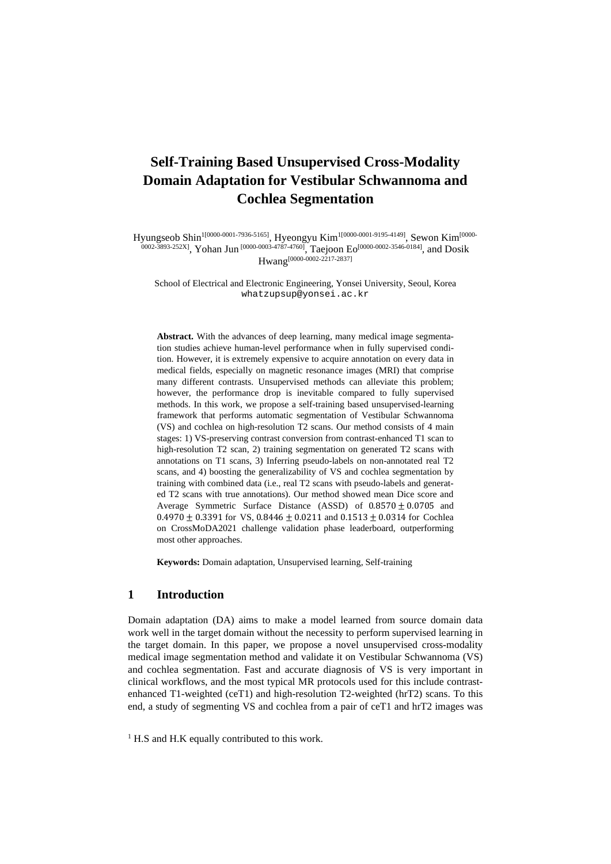# **Self-Training Based Unsupervised Cross-Modality Domain Adaptation for Vestibular Schwannoma and Cochlea Segmentation**

Hyungseob Shin<sup>1[0000-0001-7936-5165]</sup>, Hyeongyu Kim<sup>1[0000-0001-9195-4149]</sup>, Sewon Kim<sup>[0000-</sup> 0002-3893-252X], Yohan Jun <sup>[0000-0003-4787-4760]</sup>, Taejoon Eo<sup>[0000-0002-3546-0184]</sup>, and Dosik  $Hwang^{[0000-0002-2217-2837]}$ 

School of Electrical and Electronic Engineering, Yonsei University, Seoul, Korea whatzupsup@yonsei.ac.kr

**Abstract.** With the advances of deep learning, many medical image segmentation studies achieve human-level performance when in fully supervised condition. However, it is extremely expensive to acquire annotation on every data in medical fields, especially on magnetic resonance images (MRI) that comprise many different contrasts. Unsupervised methods can alleviate this problem; however, the performance drop is inevitable compared to fully supervised methods. In this work, we propose a self-training based unsupervised-learning framework that performs automatic segmentation of Vestibular Schwannoma (VS) and cochlea on high-resolution T2 scans. Our method consists of 4 main stages: 1) VS-preserving contrast conversion from contrast-enhanced T1 scan to high-resolution T2 scan, 2) training segmentation on generated T2 scans with annotations on T1 scans, 3) Inferring pseudo-labels on non-annotated real T2 scans, and 4) boosting the generalizability of VS and cochlea segmentation by training with combined data (i.e., real T2 scans with pseudo-labels and generated T2 scans with true annotations). Our method showed mean Dice score and Average Symmetric Surface Distance (ASSD) of  $0.8570 \pm 0.0705$  and  $0.4970 \pm 0.3391$  for VS,  $0.8446 \pm 0.0211$  and  $0.1513 \pm 0.0314$  for Cochlea on CrossMoDA2021 challenge validation phase leaderboard, outperforming most other approaches.

**Keywords:** Domain adaptation, Unsupervised learning, Self-training

## **1 Introduction**

Domain adaptation (DA) aims to make a model learned from source domain data work well in the target domain without the necessity to perform supervised learning in the target domain. In this paper, we propose a novel unsupervised cross-modality medical image segmentation method and validate it on Vestibular Schwannoma (VS) and cochlea segmentation. Fast and accurate diagnosis of VS is very important in clinical workflows, and the most typical MR protocols used for this include contrastenhanced T1-weighted (ceT1) and high-resolution T2-weighted (hrT2) scans. To this end, a study of segmenting VS and cochlea from a pair of ceT1 and hrT2 images was

 $<sup>1</sup>$  H.S and H.K equally contributed to this work.</sup>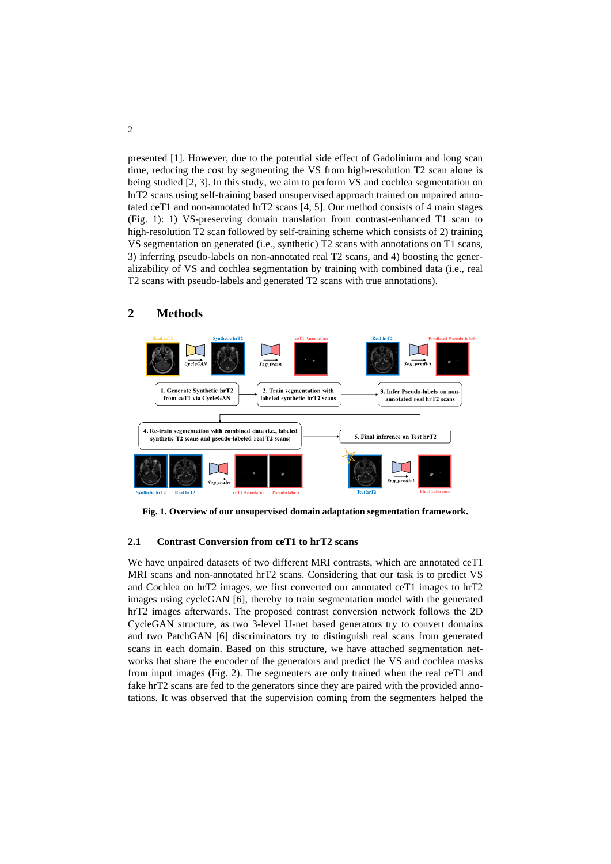presented [1]. However, due to the potential side effect of Gadolinium and long scan time, reducing the cost by segmenting the VS from high-resolution T2 scan alone is being studied [2, 3]. In this study, we aim to perform VS and cochlea segmentation on hrT2 scans using self-training based unsupervised approach trained on unpaired annotated ceT1 and non-annotated hrT2 scans [4, 5]. Our method consists of 4 main stages (Fig. 1): 1) VS-preserving domain translation from contrast-enhanced T1 scan to high-resolution T2 scan followed by self-training scheme which consists of 2) training VS segmentation on generated (i.e., synthetic) T2 scans with annotations on T1 scans, 3) inferring pseudo-labels on non-annotated real T2 scans, and 4) boosting the generalizability of VS and cochlea segmentation by training with combined data (i.e., real T2 scans with pseudo-labels and generated T2 scans with true annotations).



## **2 Methods**

**Fig. 1. Overview of our unsupervised domain adaptation segmentation framework.**

#### **2.1 Contrast Conversion from ceT1 to hrT2 scans**

We have unpaired datasets of two different MRI contrasts, which are annotated ceT1 MRI scans and non-annotated hrT2 scans. Considering that our task is to predict VS and Cochlea on hrT2 images, we first converted our annotated ceT1 images to hrT2 images using cycleGAN [6], thereby to train segmentation model with the generated hrT2 images afterwards. The proposed contrast conversion network follows the 2D CycleGAN structure, as two 3-level U-net based generators try to convert domains and two PatchGAN [6] discriminators try to distinguish real scans from generated scans in each domain. Based on this structure, we have attached segmentation networks that share the encoder of the generators and predict the VS and cochlea masks from input images (Fig. 2). The segmenters are only trained when the real ceT1 and fake hrT2 scans are fed to the generators since they are paired with the provided annotations. It was observed that the supervision coming from the segmenters helped the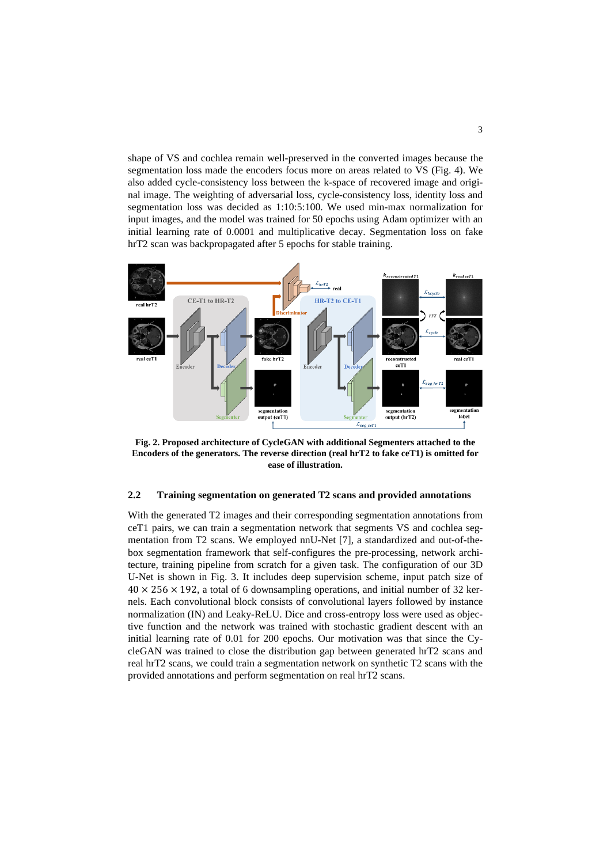shape of VS and cochlea remain well-preserved in the converted images because the segmentation loss made the encoders focus more on areas related to VS (Fig. 4). We also added cycle-consistency loss between the k-space of recovered image and original image. The weighting of adversarial loss, cycle-consistency loss, identity loss and segmentation loss was decided as 1:10:5:100. We used min-max normalization for input images, and the model was trained for 50 epochs using Adam optimizer with an initial learning rate of 0.0001 and multiplicative decay. Segmentation loss on fake hrT2 scan was backpropagated after 5 epochs for stable training.



**Fig. 2. Proposed architecture of CycleGAN with additional Segmenters attached to the Encoders of the generators. The reverse direction (real hrT2 to fake ceT1) is omitted for ease of illustration.**

#### **2.2 Training segmentation on generated T2 scans and provided annotations**

With the generated T2 images and their corresponding segmentation annotations from ceT1 pairs, we can train a segmentation network that segments VS and cochlea segmentation from T2 scans. We employed nnU-Net [7], a standardized and out-of-thebox segmentation framework that self-configures the pre-processing, network architecture, training pipeline from scratch for a given task. The configuration of our 3D U-Net is shown in Fig. 3. It includes deep supervision scheme, input patch size of  $40 \times 256 \times 192$ , a total of 6 downsampling operations, and initial number of 32 kernels. Each convolutional block consists of convolutional layers followed by instance normalization (IN) and Leaky-ReLU. Dice and cross-entropy loss were used as objective function and the network was trained with stochastic gradient descent with an initial learning rate of 0.01 for 200 epochs. Our motivation was that since the CycleGAN was trained to close the distribution gap between generated hrT2 scans and real hrT2 scans, we could train a segmentation network on synthetic T2 scans with the provided annotations and perform segmentation on real hrT2 scans.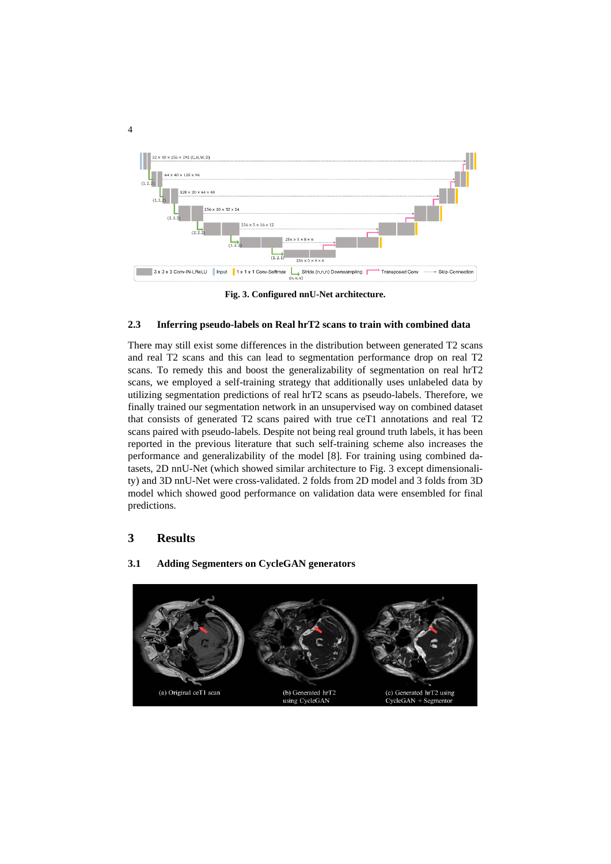

**Fig. 3. Configured nnU-Net architecture.**

## **2.3 Inferring pseudo-labels on Real hrT2 scans to train with combined data**

There may still exist some differences in the distribution between generated T2 scans and real T2 scans and this can lead to segmentation performance drop on real T2 scans. To remedy this and boost the generalizability of segmentation on real hrT2 scans, we employed a self-training strategy that additionally uses unlabeled data by utilizing segmentation predictions of real hrT2 scans as pseudo-labels. Therefore, we finally trained our segmentation network in an unsupervised way on combined dataset that consists of generated T2 scans paired with true ceT1 annotations and real T2 scans paired with pseudo-labels. Despite not being real ground truth labels, it has been reported in the previous literature that such self-training scheme also increases the performance and generalizability of the model [8]. For training using combined datasets, 2D nnU-Net (which showed similar architecture to Fig. 3 except dimensionality) and 3D nnU-Net were cross-validated. 2 folds from 2D model and 3 folds from 3D model which showed good performance on validation data were ensembled for final predictions.

# **3 Results**



#### **3.1 Adding Segmenters on CycleGAN generators**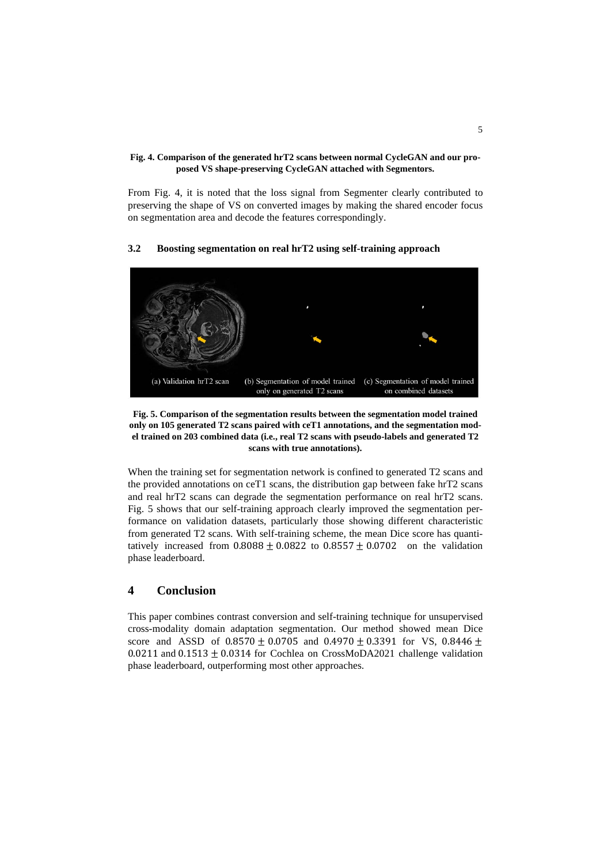#### **Fig. 4. Comparison of the generated hrT2 scans between normal CycleGAN and our proposed VS shape-preserving CycleGAN attached with Segmentors.**

From Fig. 4, it is noted that the loss signal from Segmenter clearly contributed to preserving the shape of VS on converted images by making the shared encoder focus on segmentation area and decode the features correspondingly.

#### **3.2 Boosting segmentation on real hrT2 using self-training approach**



**Fig. 5. Comparison of the segmentation results between the segmentation model trained only on 105 generated T2 scans paired with ceT1 annotations, and the segmentation model trained on 203 combined data (i.e., real T2 scans with pseudo-labels and generated T2 scans with true annotations).**

When the training set for segmentation network is confined to generated T2 scans and the provided annotations on ceT1 scans, the distribution gap between fake hrT2 scans and real hrT2 scans can degrade the segmentation performance on real hrT2 scans. Fig. 5 shows that our self-training approach clearly improved the segmentation performance on validation datasets, particularly those showing different characteristic from generated T2 scans. With self-training scheme, the mean Dice score has quantitatively increased from  $0.8088 \pm 0.0822$  to  $0.8557 \pm 0.0702$  on the validation phase leaderboard.

# **4 Conclusion**

This paper combines contrast conversion and self-training technique for unsupervised cross-modality domain adaptation segmentation. Our method showed mean Dice score and ASSD of  $0.8570 \pm 0.0705$  and  $0.4970 \pm 0.3391$  for VS,  $0.8446 \pm 0.0705$ 0.0211 and  $0.1513 \pm 0.0314$  for Cochlea on CrossMoDA2021 challenge validation phase leaderboard, outperforming most other approaches.